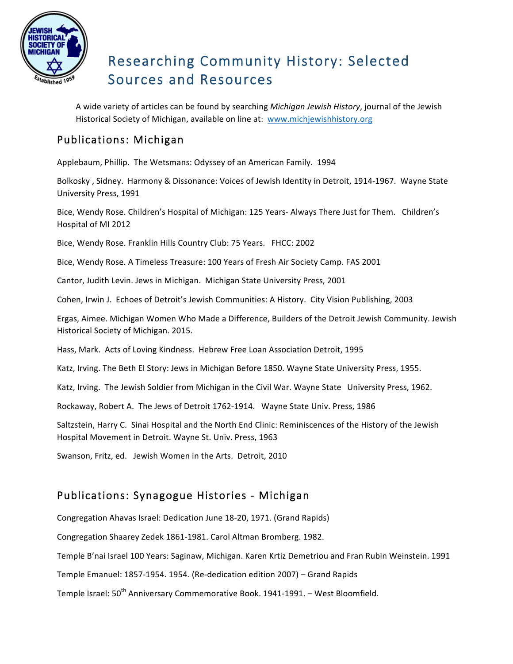

# Researching Community History: Selected Sources and Resources

A wide variety of articles can be found by searching *Michigan Jewish History*, journal of the Jewish Historical Society of Michigan, available on line at: www.michjewishhistory.org

### Publications: Michigan

Applebaum, Phillip. The Wetsmans: Odyssey of an American Family. 1994

Bolkosky, Sidney. Harmony & Dissonance: Voices of Jewish Identity in Detroit, 1914-1967. Wayne State University Press, 1991

Bice, Wendy Rose. Children's Hospital of Michigan: 125 Years- Always There Just for Them. Children's Hospital of MI 2012

Bice, Wendy Rose. Franklin Hills Country Club: 75 Years. FHCC: 2002

Bice, Wendy Rose. A Timeless Treasure: 100 Years of Fresh Air Society Camp. FAS 2001

Cantor, Judith Levin. Jews in Michigan. Michigan State University Press, 2001

Cohen, Irwin J. Echoes of Detroit's Jewish Communities: A History. City Vision Publishing, 2003

Ergas, Aimee. Michigan Women Who Made a Difference, Builders of the Detroit Jewish Community. Jewish Historical Society of Michigan. 2015.

Hass, Mark. Acts of Loving Kindness. Hebrew Free Loan Association Detroit, 1995

Katz, Irving. The Beth El Story: Jews in Michigan Before 1850. Wayne State University Press, 1955.

Katz, Irving. The Jewish Soldier from Michigan in the Civil War. Wayne State University Press, 1962.

Rockaway, Robert A. The Jews of Detroit 1762-1914. Wayne State Univ. Press, 1986

Saltzstein, Harry C. Sinai Hospital and the North End Clinic: Reminiscences of the History of the Jewish Hospital Movement in Detroit. Wayne St. Univ. Press, 1963

Swanson, Fritz, ed. Jewish Women in the Arts. Detroit, 2010

#### Publications: Synagogue Histories - Michigan

Congregation Ahavas Israel: Dedication June 18-20, 1971. (Grand Rapids)

Congregation Shaarey Zedek 1861-1981. Carol Altman Bromberg. 1982.

Temple B'nai Israel 100 Years: Saginaw, Michigan. Karen Krtiz Demetriou and Fran Rubin Weinstein. 1991

Temple Emanuel: 1857-1954. 1954. (Re-dedication edition 2007) - Grand Rapids

Temple Israel: 50<sup>th</sup> Anniversary Commemorative Book. 1941-1991. - West Bloomfield.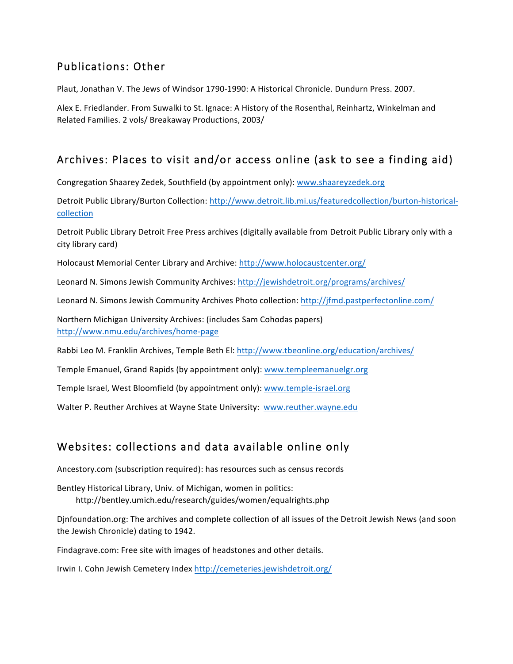#### Publications: Other

Plaut, Jonathan V. The Jews of Windsor 1790-1990: A Historical Chronicle. Dundurn Press. 2007.

Alex E. Friedlander. From Suwalki to St. Ignace: A History of the Rosenthal, Reinhartz, Winkelman and Related Families. 2 vols/ Breakaway Productions, 2003/

## Archives: Places to visit and/or access online (ask to see a finding aid)

Congregation Shaarey Zedek, Southfield (by appointment only): www.shaareyzedek.org

Detroit Public Library/Burton Collection: http://www.detroit.lib.mi.us/featuredcollection/burton-historicalcollection

Detroit Public Library Detroit Free Press archives (digitally available from Detroit Public Library only with a city library card)

Holocaust Memorial Center Library and Archive: http://www.holocaustcenter.org/

Leonard N. Simons Jewish Community Archives: http://jewishdetroit.org/programs/archives/

Leonard N. Simons Jewish Community Archives Photo collection: http://jfmd.pastperfectonline.com/

Northern Michigan University Archives: (includes Sam Cohodas papers) http://www.nmu.edu/archives/home-page

Rabbi Leo M. Franklin Archives, Temple Beth El: http://www.tbeonline.org/education/archives/

Temple Emanuel, Grand Rapids (by appointment only): www.templeemanuelgr.org

Temple Israel, West Bloomfield (by appointment only): www.temple-israel.org

Walter P. Reuther Archives at Wayne State University: www.reuther.wayne.edu

## Websites: collections and data available online only

Ancestory.com (subscription required): has resources such as census records

Bentley Historical Library, Univ. of Michigan, women in politics: http://bentley.umich.edu/research/guides/women/equalrights.php

Djnfoundation.org: The archives and complete collection of all issues of the Detroit Jewish News (and soon the Jewish Chronicle) dating to 1942.

Findagrave.com: Free site with images of headstones and other details.

Irwin I. Cohn Jewish Cemetery Index http://cemeteries.jewishdetroit.org/